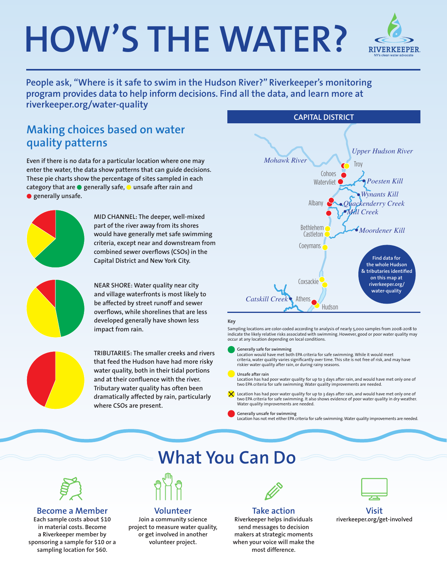# **HOW'S THE WATER?**



**People ask, "Where is it safe to swim in the Hudson River?" Riverkeeper's monitoring program provides data to help inform decisions. Find all the data, and learn more at riverkeeper.org/water-quality**

### **Making choices based on water quality patterns**

**Even if there is no data for a particular location where one may enter the water, the data show patterns that can guide decisions. These pie charts show the percentage of sites sampled in each category that are** ● **generally safe,** ● **unsafe after rain and**  ● **generally unsafe.**



**MID CHANNEL: The deeper, well-mixed part of the river away from its shores would have generally met safe swimming criteria, except near and downstream from combined sewer overflows (CSOs) in the Capital District and New York City.**

**NEAR SHORE: Water quality near city and village waterfronts is most likely to be affected by street runoff and sewer overflows, while shorelines that are less developed generally have shown less impact from rain.**



**TRIBUTARIES: The smaller creeks and rivers that feed the Hudson have had more risky water quality, both in their tidal portions and at their confluence with the river. Tributary water quality has often been dramatically affected by rain, particularly where CSOs are present.** 



#### **Key**

Sampling locations are color-coded according to analysis of nearly 5,000 samples from 2008-2018 to indicate the likely relative risks associated with swimming. However, good or poor water quality may *Sawyer Kill* occur at any location depending on local conditions.

Generally safe for swimming<br>Location would have met both EPA criteria for safe swimming. While it would meet criteria, water quality varies significantly over time. This site is not free of risk, and may have criteria, water quality varies significantly over time. This site is not free of risk, and may have riskier water quality after rain, or during rainy seasons.

#### **Unsafe after rain**

Location has had poor water quality for up to 3 days after rain, and would have met only one of two EPA criteria for safe swimming. Water quality improvements are needed.<br>.

Location has had poor water quality for up to 3 days after rain, and would have met only one of two EPA criteria for safe swimming. It also shows evidence of poor water quality in dry weather. Water quality improvements are needed.

**Generally unsafe for swimming**

Location has not met either EPA criteria for safe swimming. Water quality improvements are needed.



#### **Become a Member**

**Each sample costs about \$10 in material costs. Become a Riverkeeper member by sponsoring a sample for \$10 or a sampling location for \$60.**

# What You Can Do

*Wallkill River*



#### **Volunteer**

**Join a community science project to measure water quality, or get involved in another volunteer project.**

 $\mathcal{L}$ 

#### **Take action**

Cold Spring **Riverkeeper helps individuals**  most difference. send messages to decision **makers at strategic moments when your voice will make the** 



**Visit riverkeeper.org/get-involved**